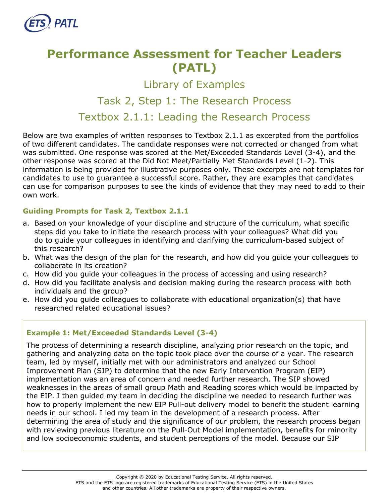

# **Performance Assessment for Teacher Leaders (PATL)**

Library of Examples

# Task 2, Step 1: The Research Process

Textbox 2.1.1: Leading the Research Process

Below are two examples of written responses to Textbox 2.1.1 as excerpted from the portfolios of two different candidates. The candidate responses were not corrected or changed from what was submitted. One response was scored at the Met/Exceeded Standards Level (3-4), and the other response was scored at the Did Not Meet/Partially Met Standards Level (1-2). This information is being provided for illustrative purposes only. These excerpts are not templates for candidates to use to guarantee a successful score. Rather, they are examples that candidates can use for comparison purposes to see the kinds of evidence that they may need to add to their own work.

# **Guiding Prompts for Task 2, Textbox 2.1.1**

- a. Based on your knowledge of your discipline and structure of the curriculum, what specific steps did you take to initiate the research process with your colleagues? What did you do to guide your colleagues in identifying and clarifying the curriculum-based subject of this research?
- b. What was the design of the plan for the research, and how did you guide your colleagues to collaborate in its creation?
- c. How did you guide your colleagues in the process of accessing and using research?
- d. How did you facilitate analysis and decision making during the research process with both individuals and the group?
- e. How did you guide colleagues to collaborate with educational organization(s) that have researched related educational issues?

#### **Example 1: Met/Exceeded Standards Level (3-4)**

The process of determining a research discipline, analyzing prior research on the topic, and gathering and analyzing data on the topic took place over the course of a year. The research team, led by myself, initially met with our administrators and analyzed our School Improvement Plan (SIP) to determine that the new Early Intervention Program (EIP) implementation was an area of concern and needed further research. The SIP showed weaknesses in the areas of small group Math and Reading scores which would be impacted by the EIP. I then guided my team in deciding the discipline we needed to research further was how to properly implement the new EIP Pull-out delivery model to benefit the student learning needs in our school. I led my team in the development of a research process. After determining the area of study and the significance of our problem, the research process began with reviewing previous literature on the Pull-Out Model implementation, benefits for minority and low socioeconomic students, and student perceptions of the model. Because our SIP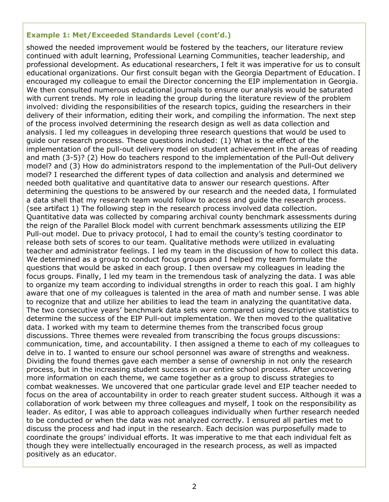#### **Example 1: Met/Exceeded Standards Level (cont'd.)**

showed the needed improvement would be fostered by the teachers, our literature review continued with adult learning, Professional Learning Communities, teacher leadership, and professional development. As educational researchers, I felt it was imperative for us to consult educational organizations. Our first consult began with the Georgia Department of Education. I encouraged my colleague to email the Director concerning the EIP implementation in Georgia. We then consulted numerous educational journals to ensure our analysis would be saturated with current trends. My role in leading the group during the literature review of the problem involved: dividing the responsibilities of the research topics, guiding the researchers in their delivery of their information, editing their work, and compiling the information. The next step of the process involved determining the research design as well as data collection and analysis. I led my colleagues in developing three research questions that would be used to guide our research process. These questions included: (1) What is the effect of the implementation of the pull-out delivery model on student achievement in the areas of reading and math (3-5)? (2) How do teachers respond to the implementation of the Pull-Out delivery model? and (3) How do administrators respond to the implementation of the Pull-Out delivery model? I researched the different types of data collection and analysis and determined we needed both qualitative and quantitative data to answer our research questions. After determining the questions to be answered by our research and the needed data, I formulated a data shell that my research team would follow to access and guide the research process. (see artifact 1) The following step in the research process involved data collection. Quantitative data was collected by comparing archival county benchmark assessments during the reign of the Parallel Block model with current benchmark assessments utilizing the EIP Pull-out model. Due to privacy protocol, I had to email the county's testing coordinator to release both sets of scores to our team. Qualitative methods were utilized in evaluating teacher and administrator feelings. I led my team in the discussion of how to collect this data. We determined as a group to conduct focus groups and I helped my team formulate the questions that would be asked in each group. I then oversaw my colleagues in leading the focus groups. Finally, I led my team in the tremendous task of analyzing the data. I was able to organize my team according to individual strengths in order to reach this goal. I am highly aware that one of my colleagues is talented in the area of math and number sense. I was able to recognize that and utilize her abilities to lead the team in analyzing the quantitative data. The two consecutive years' benchmark data sets were compared using descriptive statistics to determine the success of the EIP Pull-out implementation. We then moved to the qualitative data. I worked with my team to determine themes from the transcribed focus group discussions. Three themes were revealed from transcribing the focus groups discussions: communication, time, and accountability. I then assigned a theme to each of my colleagues to delve in to. I wanted to ensure our school personnel was aware of strengths and weakness. Dividing the found themes gave each member a sense of ownership in not only the research process, but in the increasing student success in our entire school process. After uncovering more information on each theme, we came together as a group to discuss strategies to combat weaknesses. We uncovered that one particular grade level and EIP teacher needed to focus on the area of accountability in order to reach greater student success. Although it was a collaboration of work between my three colleagues and myself, I took on the responsibility as leader. As editor, I was able to approach colleagues individually when further research needed to be conducted or when the data was not analyzed correctly. I ensured all parties met to discuss the process and had input in the research. Each decision was purposefully made to coordinate the groups' individual efforts. It was imperative to me that each individual felt as though they were intellectually encouraged in the research process, as well as impacted positively as an educator.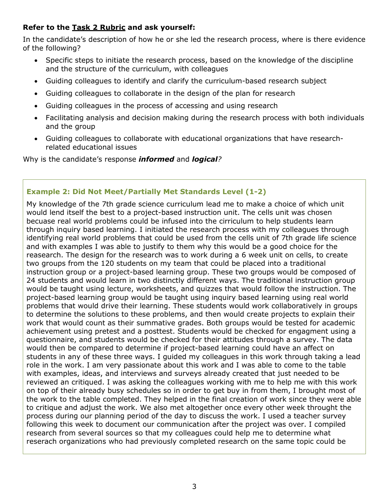# **Refer to the [Task 2](http://gace.ets.org/s/pdf/gace_teacher_leadership_assessment_task_2_rubric.pdf) Rubric and ask yourself:**

In the candidate's description of how he or she led the research process, where is there evidence of the following?

- Specific steps to initiate the research process, based on the knowledge of the discipline and the structure of the curriculum, with colleagues
- Guiding colleagues to identify and clarify the curriculum-based research subject
- Guiding colleagues to collaborate in the design of the plan for research
- Guiding colleagues in the process of accessing and using research
- Facilitating analysis and decision making during the research process with both individuals and the group
- Guiding colleagues to collaborate with educational organizations that have researchrelated educational issues

Why is the candidate's response *informed* and *logical?*

# **Example 2: Did Not Meet/Partially Met Standards Level (1-2)**

My knowledge of the 7th grade science curriculum lead me to make a choice of which unit would lend itself the best to a project-based instruction unit. The cells unit was chosen becuase real world problems could be infused into the cirriculum to help students learn through inquiry based learning. I initiated the research process with my colleagues through identifying real world problems that could be used from the cells unit of 7th grade life science and with examples I was able to justify to them why this would be a good choice for the reasearch. The design for the research was to work during a 6 week unit on cells, to create two groups from the 120 students on my team that could be placed into a traditional instruction group or a project-based learning group. These two groups would be composed of 24 students and would learn in two distinctly different ways. The traditional instruction group would be taught using lecture, worksheets, and quizzes that would follow the instruction. The project-based learning group would be taught using inquiry based learning using real world problems that would drive their learning. These students would work collaboratively in groups to determine the solutions to these problems, and then would create projects to explain their work that would count as their summative grades. Both groups would be tested for academic achievement using pretest and a posttest. Students would be checked for engagment using a questionnaire, and students would be checked for their attitudes through a survey. The data would then be compared to determine if project-based learning could have an affect on students in any of these three ways. I guided my colleagues in this work through taking a lead role in the work. I am very passionate about this work and I was able to come to the table with examples, ideas, and interviews and surveys already created that just needed to be reviewed an critiqued. I was asking the colleagues working with me to help me with this work on top of their already busy schedules so in order to get buy in from them, I brought most of the work to the table completed. They helped in the final creation of work since they were able to critique and adjust the work. We also met altogether once every other week throught the process during our planning period of the day to discuss the work. I used a teacher survey following this week to document our communication after the project was over. I compiled research from several sources so that my colleagues could help me to determine what reserach organizations who had previously completed research on the same topic could be